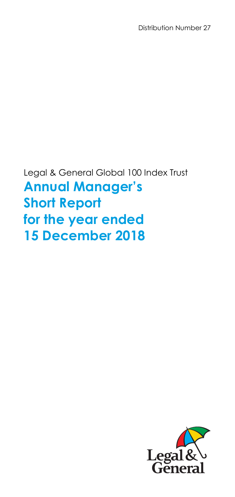Distribution Number 27

Legal & General Global 100 Index Trust **Annual Manager's Short Report for the year ended 15 December 2018** 

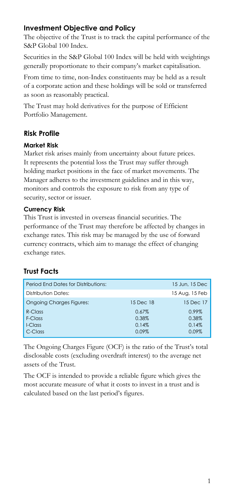# **Investment Objective and Policy**

The objective of the Trust is to track the capital performance of the S&P Global 100 Index.

Securities in the S&P Global 100 Index will be held with weightings generally proportionate to their company's market capitalisation.

From time to time, non-Index constituents may be held as a result of a corporate action and these holdings will be sold or transferred as soon as reasonably practical.

The Trust may hold derivatives for the purpose of Efficient Portfolio Management.

# **Risk Profile**

### **Market Risk**

Market risk arises mainly from uncertainty about future prices. It represents the potential loss the Trust may suffer through holding market positions in the face of market movements. The Manager adheres to the investment guidelines and in this way, monitors and controls the exposure to risk from any type of security, sector or issuer.

### **Currency Risk**

This Trust is invested in overseas financial securities. The performance of the Trust may therefore be affected by changes in exchange rates. This risk may be managed by the use of forward currency contracts, which aim to manage the effect of changing exchange rates.

# **Trust Facts**

|           | 15 Jun, 15 Dec |
|-----------|----------------|
|           | 15 Aug, 15 Feb |
| 15 Dec 18 | 15 Dec 17      |
| 0.67%     | 0.99%          |
| 0.38%     | 0.38%          |
| 0.14%     | 0.14%          |
| 0.09%     | 0.09%          |
|           |                |

The Ongoing Charges Figure (OCF) is the ratio of the Trust's total disclosable costs (excluding overdraft interest) to the average net assets of the Trust.

The OCF is intended to provide a reliable figure which gives the most accurate measure of what it costs to invest in a trust and is calculated based on the last period's figures.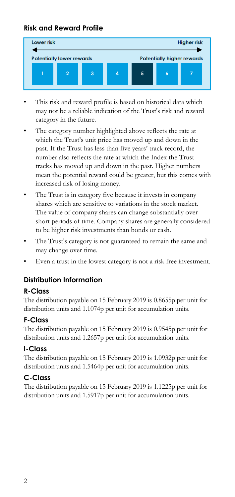# **Risk and Reward Profile**



- This risk and reward profile is based on historical data which may not be a reliable indication of the Trust's risk and reward category in the future.
- The category number highlighted above reflects the rate at which the Trust's unit price has moved up and down in the past. If the Trust has less than five years' track record, the number also reflects the rate at which the Index the Trust tracks has moved up and down in the past. Higher numbers mean the potential reward could be greater, but this comes with increased risk of losing money.
- The Trust is in category five because it invests in company shares which are sensitive to variations in the stock market. The value of company shares can change substantially over short periods of time. Company shares are generally considered to be higher risk investments than bonds or cash.
- The Trust's category is not guaranteed to remain the same and may change over time.
- Even a trust in the lowest category is not a risk free investment.

# **Distribution Information**

# **R-Class**

The distribution payable on 15 February 2019 is 0.8655p per unit for distribution units and 1.1074p per unit for accumulation units.

# **F-Class**

The distribution payable on 15 February 2019 is 0.9545p per unit for distribution units and 1.2657p per unit for accumulation units.

# **I-Class**

The distribution payable on 15 February 2019 is 1.0932p per unit for distribution units and 1.5464p per unit for accumulation units.

# **C-Class**

The distribution payable on 15 February 2019 is 1.1225p per unit for distribution units and 1.5917p per unit for accumulation units.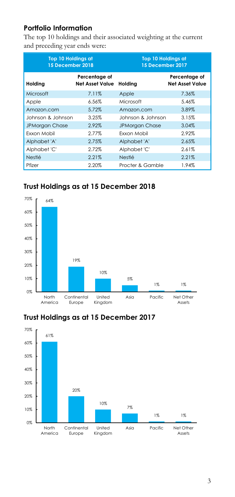# **Portfolio Information**

The top 10 holdings and their associated weighting at the current and preceding year ends were:

| <b>Top 10 Holdings at</b><br>15 December 2018 |                                         | <b>Top 10 Holdings at</b><br>15 December 2017 |                                         |
|-----------------------------------------------|-----------------------------------------|-----------------------------------------------|-----------------------------------------|
| Holding                                       | Percentage of<br><b>Net Asset Value</b> | Holding                                       | Percentage of<br><b>Net Asset Value</b> |
| Microsoft                                     | 7.11%                                   | Apple                                         | 7.36%                                   |
| Apple                                         | 6.56%                                   | Microsoft                                     | 5.46%                                   |
| Amazon.com                                    | 5.72%                                   | Amazon.com                                    | 3.89%                                   |
| Johnson & Johnson                             | 3.25%                                   | Johnson & Johnson                             | 3.15%                                   |
| <b>JPMorgan Chase</b>                         | 2.92%                                   | <b>JPMorgan Chase</b>                         | 3.04%                                   |
| <b>Fxxon Mobil</b>                            | 2.77%                                   | Fxxon Mobil                                   | 2.92%                                   |
| Alphabet 'A'                                  | 2.75%                                   | Alphabet 'A'                                  | 2.65%                                   |
| Alphabet 'C'                                  | 2.72%                                   | Alphabet 'C'                                  | 2.61%                                   |
| <b>Nestlé</b>                                 | 2.21%                                   | Nestlé                                        | 2.21%                                   |
| Pfizer                                        | 2.20%                                   | Procter & Gamble                              | 1.94%                                   |

# **Trust Holdings as at 15 December 2018**



# **Trust Holdings as at 15 December 2017**

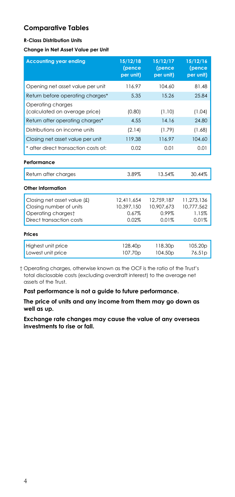# **Comparative Tables**

#### **R-Class Distribution Units**

#### **Change in Net Asset Value per Unit**

| <b>Accounting year ending</b>                          | 15/12/18<br>(pence<br>per unit) | 15/12/17<br>(pence<br>per unit)            | 15/12/16<br>(pence<br>per unit) |
|--------------------------------------------------------|---------------------------------|--------------------------------------------|---------------------------------|
| Opening net asset value per unit                       | 116.97                          | 104.60                                     | 81.48                           |
| Return before operating charges*                       | 5.35                            | 15.26                                      | 25.84                           |
| Operating charges<br>(calculated on average price)     | (0.80)                          | (1.10)                                     | (1.04)                          |
| Return after operating charges*                        | 4.55                            | 14.16                                      | 24.80                           |
| Distributions on income units                          | (2.14)                          | (1.79)                                     | (1.68)                          |
| Closing net asset value per unit                       | 119.38                          | 116.97                                     | 104.60                          |
| * after direct transaction costs of:                   | 0.02                            | 0.01                                       | 0.01                            |
| Performance                                            |                                 |                                            |                                 |
| Return after charges                                   | 3.89%                           | 13.54%                                     | 30.44%                          |
| Other Information                                      |                                 |                                            |                                 |
| Closing net asset value (£)<br>Closing number of units | 12,411,654<br>10.397.150        | 12,759,187<br>10,907,673                   | 11,273,136<br>10,777,562        |
| Operating chargest<br>Direct transaction costs         | 0.67%<br>0.02%                  | 0.99%<br>0.01%                             | 1.15%<br>0.01%                  |
| Prices                                                 |                                 |                                            |                                 |
| Highest unit price<br>Lowest unit price                | 128.40p<br>107.70p              | 118.30 <sub>p</sub><br>104.50 <sub>p</sub> | 105.20p<br>76.51 <sub>p</sub>   |

 † Operating charges, otherwise known as the OCF is the ratio of the Trust's total disclosable costs (excluding overdraft interest) to the average net assets of the Trust.

**Past performance is not a guide to future performance.** 

**The price of units and any income from them may go down as well as up.**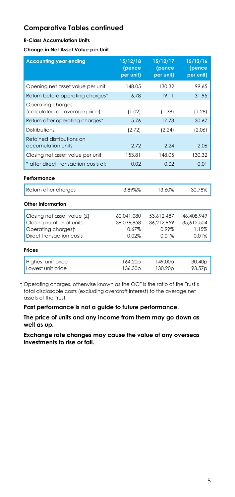#### **R-Class Accumulation Units**

**Change in Net Asset Value per Unit** 

| <b>Accounting year ending</b>                                                                               | 15/12/18<br>(pence<br>per unit)            | 15/12/17<br>(pence<br>per unit)            | 15/12/16<br>(pence<br>per unit)            |
|-------------------------------------------------------------------------------------------------------------|--------------------------------------------|--------------------------------------------|--------------------------------------------|
| Opening net asset value per unit                                                                            | 148.05                                     | 130.32                                     | 99.65                                      |
| Return before operating charges*                                                                            | 6.78                                       | 19.11                                      | 31.95                                      |
| Operating charges<br>(calculated on average price)                                                          | (1.02)                                     | (1.38)                                     | (1.28)                                     |
| Return after operating charges*                                                                             | 5.76                                       | 17.73                                      | 30.67                                      |
| Distributions                                                                                               | (2.72)                                     | (2.24)                                     | (2.06)                                     |
| Retained distributions on<br>accumulation units                                                             | 2.72                                       | 2.24                                       | 2.06                                       |
| Closing net asset value per unit                                                                            | 153.81                                     | 148.05                                     | 130.32                                     |
| * after direct transaction costs of:                                                                        | 0.02                                       | 0.02                                       | 0.01                                       |
| Performance                                                                                                 |                                            |                                            |                                            |
| Return after charges                                                                                        | 3.89%%                                     | 13.60%                                     | 30.78%                                     |
| <b>Other Information</b>                                                                                    |                                            |                                            |                                            |
| Closing net asset value $f(x)$<br>Closing number of units<br>Operating chargest<br>Direct transaction costs | 60.041.080<br>39.036.858<br>0.67%<br>0.02% | 53,612,487<br>36.212.959<br>0.99%<br>0.01% | 46,408,949<br>35.612.504<br>1.15%<br>0.01% |
| Prices                                                                                                      |                                            |                                            |                                            |
| Highest unit price<br>Lowest unit price                                                                     | 164.20p<br>136.30 <sub>p</sub>             | 149.00p<br>130.20p                         | 130.40 <sub>p</sub><br>93.57p              |

 † Operating charges, otherwise known as the OCF is the ratio of the Trust's total disclosable costs (excluding overdraft interest) to the average net assets of the Trust.

**Past performance is not a guide to future performance.** 

**The price of units and any income from them may go down as well as up.**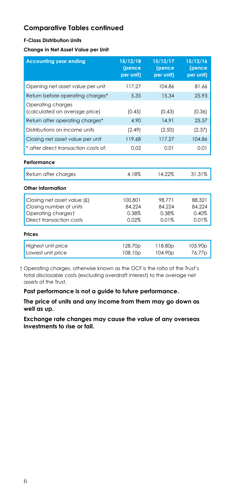#### **F-Class Distribution Units**

**Change in Net Asset Value per Unit** 

| <b>Accounting year ending</b>                      | 15/12/18<br>(pence<br>per unit) | 15/12/17<br>(pence<br>per unit) | 15/12/16<br>(pence<br>per unit) |
|----------------------------------------------------|---------------------------------|---------------------------------|---------------------------------|
| Opening net asset value per unit                   | 117.27                          | 104.86                          | 81.66                           |
| Return before operating charges*                   | 5.35                            | 15.34                           | 25.93                           |
| Operating charges<br>(calculated on average price) | (0.45)                          | (0.43)                          | (0.36)                          |
| Return after operating charges*                    | 4.90                            | 14.91                           | 25.57                           |
| Distributions on income units                      | (2.49)                          | (2.50)                          | (2.37)                          |
| Closing net asset value per unit                   | 119.68                          | 117.27                          | 104.86                          |
| * after direct transaction costs of:               | 0.02                            | 0.01                            | 0.01                            |
| Performance                                        |                                 |                                 |                                 |
| Return after charges                               | 4.18%                           | 14.22%                          | 31.31%                          |
| Other Information                                  |                                 |                                 |                                 |
| Closing net asset value (£)                        | 100.801                         | 98.771                          | 88.321                          |
| Closing number of units                            | 84.224                          | 84.224                          | 84.224                          |
| Operating chargest                                 | 0.38%                           | 0.38%                           | 0.40%                           |
| Direct transaction costs                           | 0.02%                           | 0.01%                           | 0.01%                           |
| <b>Prices</b>                                      |                                 |                                 |                                 |
| Highest unit price                                 | 128.70p                         | 118.80p                         | 105.90p                         |
| Lowest unit price                                  | 108.10 <sub>p</sub>             | 104.90p                         | 76.77p                          |

 † Operating charges, otherwise known as the OCF is the ratio of the Trust's total disclosable costs (excluding overdraft interest) to the average net assets of the Trust.

**Past performance is not a guide to future performance.** 

**The price of units and any income from them may go down as well as up.**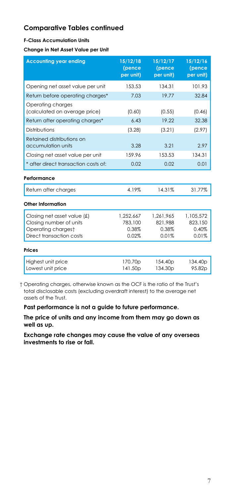#### **F-Class Accumulation Units**

**Change in Net Asset Value per Unit** 

| <b>Accounting year ending</b>                          | 15/12/18<br>(pence<br>per unit) | 15/12/17<br>(pence<br>per unit) | 15/12/16<br>(pence<br>per unit) |
|--------------------------------------------------------|---------------------------------|---------------------------------|---------------------------------|
| Opening net asset value per unit                       | 153.53                          | 134.31                          | 101.93                          |
| Return before operating charges*                       | 7.03                            | 19.77                           | 32.84                           |
| Operating charges<br>(calculated on average price)     | (0.60)                          | (0.55)                          | (0.46)                          |
| Return after operating charges*                        | 6.43                            | 19.22                           | 32.38                           |
| Distributions                                          | (3.28)                          | (3.21)                          | (2.97)                          |
| Retained distributions on<br>accumulation units        | 3.28                            | 3.21                            | 2.97                            |
| Closing net asset value per unit                       | 159.96                          | 153.53                          | 134.31                          |
| * after direct transaction costs of:                   | 0.02                            | 0.02                            | 0.01                            |
| Performance                                            |                                 |                                 |                                 |
| Return after charges                                   | 4.19%                           | 14.31%                          | 31.77%                          |
| Other Information                                      |                                 |                                 |                                 |
| Closing net asset value (£)<br>Closing number of units | 1.252.667<br>783,100            | 1.261.965<br>821.988            | 1.105.572<br>823,150            |
| Operating chargest                                     | 0.38%                           | 0.38%                           | 0.40%                           |
| Direct transaction costs                               | 0.02%                           | 0.01%                           | 0.01%                           |
| <b>Prices</b>                                          |                                 |                                 |                                 |
| Highest unit price                                     | 170.70p                         | 154.40 <sub>p</sub>             | 134.40 <sub>p</sub>             |
| Lowest unit price                                      | 141.50p                         | 134.30p                         | 95.82p                          |

 † Operating charges, otherwise known as the OCF is the ratio of the Trust's total disclosable costs (excluding overdraft interest) to the average net assets of the Trust.

**Past performance is not a guide to future performance.** 

**The price of units and any income from them may go down as well as up.**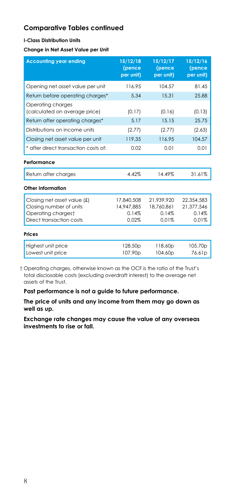#### **I-Class Distribution Units**

**Change in Net Asset Value per Unit** 

| <b>Accounting year ending</b>                                                                            | 15/12/18<br>(pence<br>per unit)            | 15/12/17<br>(pence<br>per unit)            | 15/12/16<br>(pence<br>per unit)            |
|----------------------------------------------------------------------------------------------------------|--------------------------------------------|--------------------------------------------|--------------------------------------------|
| Opening net asset value per unit                                                                         | 116.95                                     | 104.57                                     | 81.45                                      |
| Return before operating charges*                                                                         | 5.34                                       | 15.31                                      | 25.88                                      |
| Operating charges<br>(calculated on average price)                                                       | (0.17)                                     | (0.16)                                     | (0.13)                                     |
| Return after operating charaes*                                                                          | 5.17                                       | 15.15                                      | 25.75                                      |
| Distributions on income units                                                                            | (2.77)                                     | (2.77)                                     | (2.63)                                     |
| Closing net asset value per unit                                                                         | 119.35                                     | 116.95                                     | 104.57                                     |
| * after direct transaction costs of:                                                                     | 0.02                                       | 0.01                                       | 0.01                                       |
| Performance                                                                                              |                                            |                                            |                                            |
| Return after charges                                                                                     | 4.42%                                      | 14.49%                                     | 31.61%                                     |
| Other Information                                                                                        |                                            |                                            |                                            |
| Closing net asset value (£)<br>Closing number of units<br>Operating chargest<br>Direct transaction costs | 17,840,508<br>14,947,885<br>0.14%<br>0.02% | 21.939.920<br>18,760,861<br>0.14%<br>0.01% | 22,354,583<br>21.377.546<br>0.14%<br>0.01% |
| <b>Prices</b>                                                                                            |                                            |                                            |                                            |
| Highest unit price<br>Lowest unit price                                                                  | 128.50p<br>107.90p                         | 118.60p<br>104.60p                         | 105.70p<br>76.61p                          |

 † Operating charges, otherwise known as the OCF is the ratio of the Trust's total disclosable costs (excluding overdraft interest) to the average net assets of the Trust.

**Past performance is not a guide to future performance.** 

**The price of units and any income from them may go down as well as up.**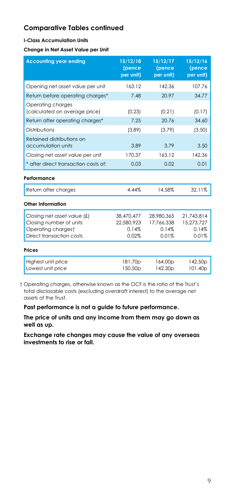#### **I-Class Accumulation Units**

**Change in Net Asset Value per Unit** 

| <b>Accounting year ending</b>                      | 15/12/18<br>(pence<br>per unit) | 15/12/17<br>(pence<br>per unit) | 15/12/16<br>(pence<br>per unit) |
|----------------------------------------------------|---------------------------------|---------------------------------|---------------------------------|
| Opening net asset value per unit                   | 163.12                          | 142.36                          | 107.76                          |
| Return before operating charges*                   | 7.48                            | 20.97                           | 34.77                           |
| Operating charges<br>(calculated on average price) | (0.23)                          | (0.21)                          | (0.17)                          |
| Return after operating charges*                    | 7.25                            | 20.76                           | 34.60                           |
| Distributions                                      | (3.89)                          | (3.79)                          | (3.50)                          |
| Retained distributions on<br>accumulation units    | 3.89                            | 3.79                            | 3.50                            |
| Closing net asset value per unit                   | 170.37                          | 163.12                          | 142.36                          |
| * after direct transaction costs of:               | 0.03                            | 0.02                            | 0.01                            |
| Performance                                        |                                 |                                 |                                 |
| Return after charges                               | 4.44%                           | 14.58%                          | 32.11%                          |
| Other Information                                  |                                 |                                 |                                 |
| Closing net asset value $f(x)$                     | 38,470,477                      | 28.980.365                      | 21.743.814                      |
| Closing number of units<br>Operating chargest      | 22.580.923<br>0.14%             | 17.766.338<br>0.14%             | 15.273.727<br>0.14%             |
| Direct transaction costs                           | 0.02%                           | 0.01%                           | 0.01%                           |
| Prices                                             |                                 |                                 |                                 |
| Highest unit price<br>Lowest unit price            | 181.70p<br>150.50 <sub>p</sub>  | 164.00p<br>142.30 <sub>p</sub>  | 142.50 <sub>p</sub><br>101.40p  |

 † Operating charges, otherwise known as the OCF is the ratio of the Trust's total disclosable costs (excluding overdraft interest) to the average net assets of the Trust.

**Past performance is not a guide to future performance.** 

**The price of units and any income from them may go down as well as up.**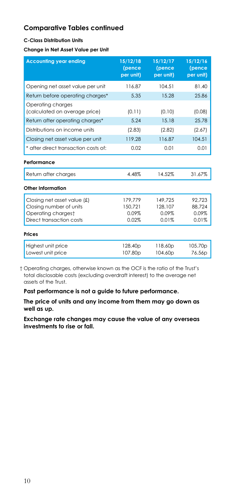#### **C-Class Distribution Units**

#### **Change in Net Asset Value per Unit**

| <b>Accounting year ending</b>                      | 15/12/18<br>(pence<br>per unit) | 15/12/17<br>(pence<br>per unit) | 15/12/16<br>(pence<br>per unit) |
|----------------------------------------------------|---------------------------------|---------------------------------|---------------------------------|
| Opening net asset value per unit                   | 116.87                          | 104.51                          | 81.40                           |
| Return before operating charges*                   | 5.35                            | 15.28                           | 25.86                           |
| Operating charges<br>(calculated on average price) | (0.11)                          | (0.10)                          | (0.08)                          |
| Return after operating charges*                    | 5.24                            | 15.18                           | 25.78                           |
| Distributions on income units                      | (2.83)                          | (2.82)                          | (2.67)                          |
| Closing net asset value per unit                   | 119.28                          | 116.87                          | 104.51                          |
| * after direct transaction costs of:               | 0.02                            | 0.01                            | 0.01                            |
| Performance                                        |                                 |                                 |                                 |
| Return after charges                               | 4.48%                           | 14.52%                          | 31.67%                          |
| Other Information                                  |                                 |                                 |                                 |
| Closing net asset value (£)                        | 179.779                         | 149.725                         | 92.723                          |
| Closing number of units                            | 150.721                         | 128,107                         | 88.724                          |
| Operating chargest                                 | 0.09%                           | 0.09%                           | 0.09%                           |
| Direct transaction costs                           | 0.02%                           | 0.01%                           | 0.01%                           |
| Prices                                             |                                 |                                 |                                 |
| Highest unit price                                 | 128.40p                         | 118.60p                         | 105.70p                         |
| Lowest unit price                                  | 107.80 <sub>p</sub>             | 104.60 <sub>p</sub>             | 76.56p                          |

 † Operating charges, otherwise known as the OCF is the ratio of the Trust's total disclosable costs (excluding overdraft interest) to the average net assets of the Trust.

**Past performance is not a guide to future performance.** 

**The price of units and any income from them may go down as well as up.**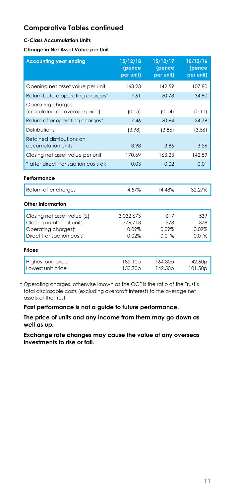#### **C-Class Accumulation Units**

**Change in Net Asset Value per Unit** 

| <b>Accounting year ending</b>                                                                              | 15/12/18<br>(pence<br>per unit)          | 15/12/17<br>(pence<br>per unit) | 15/12/16<br>(pence<br>per unit) |
|------------------------------------------------------------------------------------------------------------|------------------------------------------|---------------------------------|---------------------------------|
| Opening net asset value per unit                                                                           | 163.23                                   | 142.59                          | 107.80                          |
| Return before operating charges*                                                                           | 7.61                                     | 20.78                           | 34.90                           |
| Operating charges<br>(calculated on average price)                                                         | (0.15)                                   | (0.14)                          | (0.11)                          |
| Return after operating charges*                                                                            | 7.46                                     | 20.64                           | 34.79                           |
| Distributions                                                                                              | (3.98)                                   | (3.86)                          | (3.56)                          |
| Retained distributions on<br>accumulation units                                                            | 3.98                                     | 3.86                            | 3.56                            |
| Closing net asset value per unit                                                                           | 170.69                                   | 163.23                          | 142.59                          |
| * after direct transaction costs of:                                                                       | 0.03                                     | 0.02                            | 0.01                            |
| Performance                                                                                                |                                          |                                 |                                 |
| Return after charges                                                                                       | 4.57%                                    | 14.48%                          | 32.27%                          |
| Other Information                                                                                          |                                          |                                 |                                 |
| Closing net asset value $(f)$<br>Closing number of units<br>Operating chargest<br>Direct transaction costs | 3.032.673<br>1.776.713<br>0.09%<br>0.02% | 617<br>378<br>0.09%<br>0.01%    | 539<br>378<br>0.09%<br>0.01%    |
| Prices                                                                                                     |                                          |                                 |                                 |
| Highest unit price<br>Lowest unit price                                                                    | 182.10p<br>150.70p                       | 164.30 <sub>p</sub><br>142.50p  | 142.60p<br>101.50p              |

 † Operating charges, otherwise known as the OCF is the ratio of the Trust's total disclosable costs (excluding overdraft interest) to the average net assets of the Trust.

**Past performance is not a guide to future performance.** 

**The price of units and any income from them may go down as well as up.**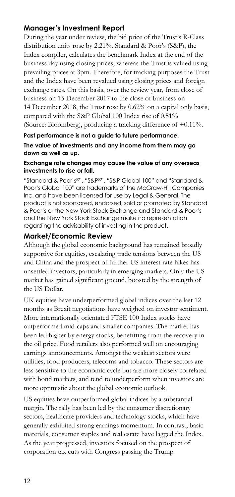# **Manager's Investment Report**

During the year under review, the bid price of the Trust's R-Class distribution units rose by 2.21%. Standard & Poor's (S&P), the Index compiler, calculates the benchmark Index at the end of the business day using closing prices, whereas the Trust is valued using prevailing prices at 3pm. Therefore, for tracking purposes the Trust and the Index have been revalued using closing prices and foreign exchange rates. On this basis, over the review year, from close of business on 15 December 2017 to the close of business on 14 December 2018, the Trust rose by 0.62% on a capital only basis, compared with the S&P Global 100 Index rise of 0.51% (Source: Bloomberg), producing a tracking difference of +0.11%.

**Past performance is not a guide to future performance. The value of investments and any income from them may go down as well as up.** 

#### **Exchange rate changes may cause the value of any overseas investments to rise or fall.**

"Standard & Poor's®", "S&P®", "S&P Global 100" and "Standard & Poor's Global 100" are trademarks of the McGraw-Hill Companies Inc. and have been licensed for use by Legal & General. The product is not sponsored, endorsed, sold or promoted by Standard & Poor's or the New York Stock Exchange and Standard & Poor's and the New York Stock Exchange make no representation regarding the advisability of investing in the product.

### **Market/Economic Review**

Although the global economic background has remained broadly supportive for equities, escalating trade tensions between the US and China and the prospect of further US interest rate hikes has unsettled investors, particularly in emerging markets. Only the US market has gained significant ground, boosted by the strength of the US Dollar.

UK equities have underperformed global indices over the last 12 months as Brexit negotiations have weighed on investor sentiment. More internationally orientated FTSE 100 Index stocks have outperformed mid-caps and smaller companies. The market has been led higher by energy stocks, benefitting from the recovery in the oil price. Food retailers also performed well on encouraging earnings announcements. Amongst the weakest sectors were utilities, food producers, telecoms and tobacco. These sectors are less sensitive to the economic cycle but are more closely correlated with bond markets, and tend to underperform when investors are more optimistic about the global economic outlook.

US equities have outperformed global indices by a substantial margin. The rally has been led by the consumer discretionary sectors, healthcare providers and technology stocks, which have generally exhibited strong earnings momentum. In contrast, basic materials, consumer staples and real estate have lagged the Index. As the year progressed, investors focused on the prospect of corporation tax cuts with Congress passing the Trump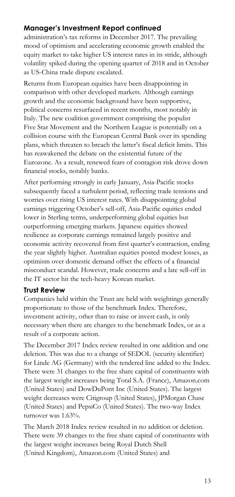# **Manager's Investment Report continued**

administration's tax reforms in December 2017. The prevailing mood of optimism and accelerating economic growth enabled the equity market to take higher US interest rates in its stride, although volatility spiked during the opening quarter of 2018 and in October as US-China trade dispute escalated.

Returns from European equities have been disappointing in comparison with other developed markets. Although earnings growth and the economic background have been supportive, political concerns resurfaced in recent months, most notably in Italy. The new coalition government comprising the populist Five Star Movement and the Northern League is potentially on a collision course with the European Central Bank over its spending plans, which threaten to breach the latter's fiscal deficit limits. This has reawakened the debate on the existential future of the Eurozone. As a result, renewed fears of contagion risk drove down financial stocks, notably banks.

After performing strongly in early January, Asia-Pacific stocks subsequently faced a turbulent period, reflecting trade tensions and worries over rising US interest rates. With disappointing global earnings triggering October's sell-off, Asia-Pacific equities ended lower in Sterling terms, underperforming global equities but outperforming emerging markets. Japanese equities showed resilience as corporate earnings remained largely positive and economic activity recovered from first quarter's contraction, ending the year slightly higher. Australian equities posted modest losses, as optimism over domestic demand offset the effects of a financial misconduct scandal. However, trade concerns and a late sell-off in the IT sector hit the tech-heavy Korean market.

# **Trust Review**

Companies held within the Trust are held with weightings generally proportionate to those of the benchmark Index. Therefore, investment activity, other than to raise or invest cash, is only necessary when there are changes to the benchmark Index, or as a result of a corporate action.

The December 2017 Index review resulted in one addition and one deletion. This was due to a change of SEDOL (security identifier) for Linde AG (Germany) with the tendered line added to the Index. There were 31 changes to the free share capital of constituents with the largest weight increases being Total S.A. (France), Amazon.com (United States) and DowDuPont Inc (United States). The largest weight decreases were Citigroup (United States), JPMorgan Chase (United States) and PepsiCo (United States). The two-way Index turnover was 1.63%.

The March 2018 Index review resulted in no addition or deletion. There were 39 changes to the free share capital of constituents with the largest weight increases being Royal Dutch Shell (United Kingdom), Amazon.com (United States) and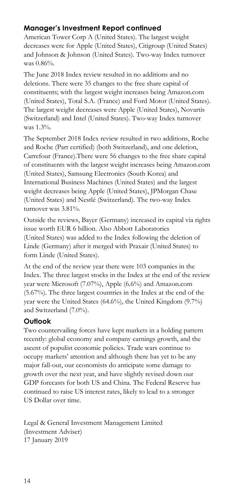# **Manager's Investment Report continued**

American Tower Corp A (United States). The largest weight decreases were for Apple (United States), Citigroup (United States) and Johnson & Johnson (United States). Two-way Index turnover was 0.86%.

The June 2018 Index review resulted in no additions and no deletions. There were 35 changes to the free share capital of constituents; with the largest weight increases being Amazon.com (United States), Total S.A. (France) and Ford Motor (United States). The largest weight decreases were Apple (United States), Novartis (Switzerland) and Intel (United States). Two-way Index turnover was 1.3%.

The September 2018 Index review resulted in two additions, Roche and Roche (Part certified) (both Switzerland), and one deletion, Carrefour (France).There were 56 changes to the free share capital of constituents with the largest weight increases being Amazon.com (United States), Samsung Electronics (South Korea) and International Business Machines (United States) and the largest weight decreases being Apple (United States), JPMorgan Chase (United States) and Nestlé (Switzerland). The two-way Index turnover was 3.81%.

Outside the reviews, Bayer (Germany) increased its capital via rights issue worth EUR 6 billion. Also Abbott Laboratories (United States) was added to the Index following the deletion of Linde (Germany) after it merged with Praxair (United States) to form Linde (United States).

At the end of the review year there were 103 companies in the Index. The three largest stocks in the Index at the end of the review year were Microsoft (7.07%), Apple (6.6%) and Amazon.com (5.67%). The three largest countries in the Index at the end of the year were the United States (64.6%), the United Kingdom (9.7%) and Switzerland (7.0%).

# **Outlook**

Two countervailing forces have kept markets in a holding pattern recently: global economy and company earnings growth, and the ascent of populist economic policies. Trade wars continue to occupy markets' attention and although there has yet to be any major fall-out, our economists do anticipate some damage to growth over the next year, and have slightly revised down our GDP forecasts for both US and China. The Federal Reserve has continued to raise US interest rates, likely to lead to a stronger US Dollar over time.

Legal & General Investment Management Limited (Investment Adviser) 17 January 2019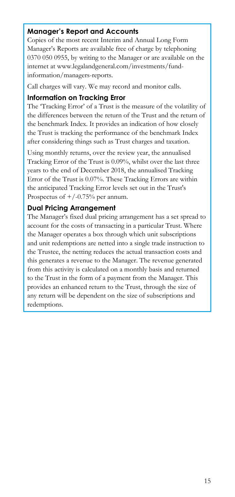# **Manager's Report and Accounts**

Copies of the most recent Interim and Annual Long Form Manager's Reports are available free of charge by telephoning 0370 050 0955, by writing to the Manager or are available on the internet at www.legalandgeneral.com/investments/fundinformation/managers-reports.

Call charges will vary. We may record and monitor calls.

### **Information on Tracking Error**

The 'Tracking Error' of a Trust is the measure of the volatility of the differences between the return of the Trust and the return of the benchmark Index. It provides an indication of how closely the Trust is tracking the performance of the benchmark Index after considering things such as Trust charges and taxation.

Using monthly returns, over the review year, the annualised Tracking Error of the Trust is 0.09%, whilst over the last three years to the end of December 2018, the annualised Tracking Error of the Trust is 0.07%. These Tracking Errors are within the anticipated Tracking Error levels set out in the Trust's Prospectus of  $+/-0.75%$  per annum.

# **Dual Pricing Arrangement**

The Manager's fixed dual pricing arrangement has a set spread to account for the costs of transacting in a particular Trust. Where the Manager operates a box through which unit subscriptions and unit redemptions are netted into a single trade instruction to the Trustee, the netting reduces the actual transaction costs and this generates a revenue to the Manager. The revenue generated from this activity is calculated on a monthly basis and returned to the Trust in the form of a payment from the Manager. This provides an enhanced return to the Trust, through the size of any return will be dependent on the size of subscriptions and redemptions.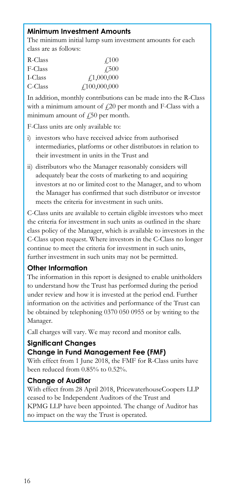# **Minimum Investment Amounts**

The minimum initial lump sum investment amounts for each class are as follows:

| R-Class | $\angle 100$ |
|---------|--------------|
| F-Class | $\sqrt{500}$ |
| I-Class | f1,000,000   |
| C-Class | f100,000,000 |

In addition, monthly contributions can be made into the R-Class with a minimum amount of  $f(20)$  per month and F-Class with a minimum amount of  $\zeta$ 50 per month.

F-Class units are only available to:

- i) investors who have received advice from authorised intermediaries, platforms or other distributors in relation to their investment in units in the Trust and
- ii) distributors who the Manager reasonably considers will adequately bear the costs of marketing to and acquiring investors at no or limited cost to the Manager, and to whom the Manager has confirmed that such distributor or investor meets the criteria for investment in such units.

C-Class units are available to certain eligible investors who meet the criteria for investment in such units as outlined in the share class policy of the Manager, which is available to investors in the C-Class upon request. Where investors in the C-Class no longer continue to meet the criteria for investment in such units, further investment in such units may not be permitted.

# **Other Information**

The information in this report is designed to enable unitholders to understand how the Trust has performed during the period under review and how it is invested at the period end. Further information on the activities and performance of the Trust can be obtained by telephoning 0370 050 0955 or by writing to the Manager.

Call charges will vary. We may record and monitor calls.

# **Significant Changes**

# **Change in Fund Management Fee (FMF)**

With effect from 1 June 2018, the FMF for R-Class units have been reduced from 0.85% to 0.52%.

# **Change of Auditor**

With effect from 28 April 2018, PricewaterhouseCoopers LLP ceased to be Independent Auditors of the Trust and KPMG LLP have been appointed. The change of Auditor has no impact on the way the Trust is operated.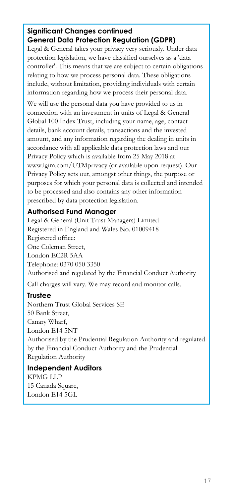# **Significant Changes continued General Data Protection Regulation (GDPR)**

Legal & General takes your privacy very seriously. Under data protection legislation, we have classified ourselves as a 'data controller'. This means that we are subject to certain obligations relating to how we process personal data. These obligations include, without limitation, providing individuals with certain information regarding how we process their personal data.

We will use the personal data you have provided to us in connection with an investment in units of Legal & General Global 100 Index Trust, including your name, age, contact details, bank account details, transactions and the invested amount, and any information regarding the dealing in units in accordance with all applicable data protection laws and our Privacy Policy which is available from 25 May 2018 at www.lgim.com/UTMprivacy (or available upon request). Our Privacy Policy sets out, amongst other things, the purpose or purposes for which your personal data is collected and intended to be processed and also contains any other information prescribed by data protection legislation.

# **Authorised Fund Manager**

Legal & General (Unit Trust Managers) Limited Registered in England and Wales No. 01009418 Registered office: One Coleman Street, London EC2R 5AA Telephone: 0370 050 3350 Authorised and regulated by the Financial Conduct Authority

Call charges will vary. We may record and monitor calls.

# **Trustee**

Northern Trust Global Services SE 50 Bank Street, Canary Wharf, London E14 5NT Authorised by the Prudential Regulation Authority and regulated by the Financial Conduct Authority and the Prudential Regulation Authority

# **Independent Auditors**  KPMG LLP 15 Canada Square, London E14 5GL